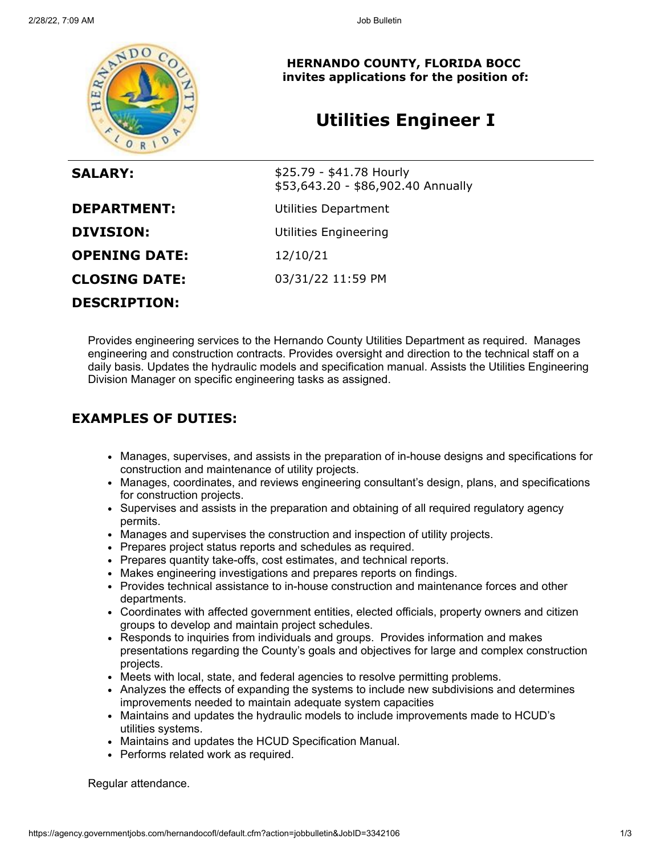

**HERNANDO COUNTY, FLORIDA BOCC invites applications for the position of:**

# **Utilities Engineer I**

| <b>SALARY:</b>       | \$25.79 - \$41.78 Hourly<br>\$53,643.20 - \$86,902.40 Annually |
|----------------------|----------------------------------------------------------------|
| <b>DEPARTMENT:</b>   | Utilities Department                                           |
| <b>DIVISION:</b>     | Utilities Engineering                                          |
| <b>OPENING DATE:</b> | 12/10/21                                                       |
| <b>CLOSING DATE:</b> | 03/31/22 11:59 PM                                              |
| <b>DESCRIPTION:</b>  |                                                                |

Provides engineering services to the Hernando County Utilities Department as required. Manages engineering and construction contracts. Provides oversight and direction to the technical staff on a daily basis. Updates the hydraulic models and specification manual. Assists the Utilities Engineering Division Manager on specific engineering tasks as assigned.

## **EXAMPLES OF DUTIES:**

- Manages, supervises, and assists in the preparation of in-house designs and specifications for construction and maintenance of utility projects.
- Manages, coordinates, and reviews engineering consultant's design, plans, and specifications for construction projects.
- Supervises and assists in the preparation and obtaining of all required regulatory agency permits.
- Manages and supervises the construction and inspection of utility projects.
- Prepares project status reports and schedules as required.
- Prepares quantity take-offs, cost estimates, and technical reports.
- Makes engineering investigations and prepares reports on findings.
- Provides technical assistance to in-house construction and maintenance forces and other departments.
- Coordinates with affected government entities, elected officials, property owners and citizen groups to develop and maintain project schedules.
- Responds to inquiries from individuals and groups. Provides information and makes presentations regarding the County's goals and objectives for large and complex construction projects.
- Meets with local, state, and federal agencies to resolve permitting problems.
- Analyzes the effects of expanding the systems to include new subdivisions and determines improvements needed to maintain adequate system capacities
- Maintains and updates the hydraulic models to include improvements made to HCUD's utilities systems.
- Maintains and updates the HCUD Specification Manual.
- Performs related work as required.

Regular attendance.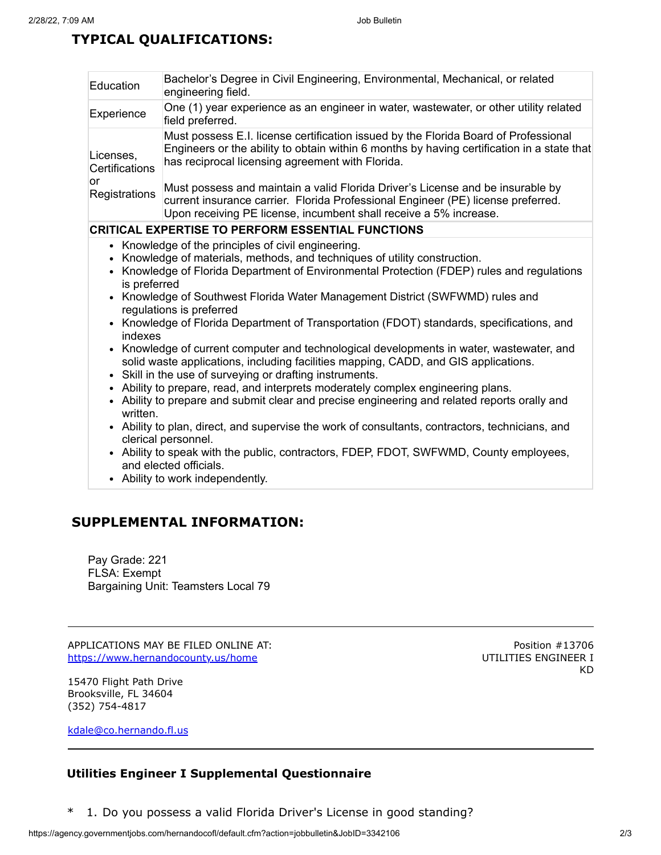## **TYPICAL QUALIFICATIONS:**

| Bachelor's Degree in Civil Engineering, Environmental, Mechanical, or related<br>Education<br>engineering field.<br>One (1) year experience as an engineer in water, wastewater, or other utility related<br>Experience<br>field preferred.<br>Must possess E.I. license certification issued by the Florida Board of Professional<br>Licenses,<br>has reciprocal licensing agreement with Florida.<br>Certifications<br>or<br>Must possess and maintain a valid Florida Driver's License and be insurable by<br>Registrations<br>current insurance carrier. Florida Professional Engineer (PE) license preferred.<br>Upon receiving PE license, incumbent shall receive a 5% increase.<br><b>CRITICAL EXPERTISE TO PERFORM ESSENTIAL FUNCTIONS</b><br>• Knowledge of the principles of civil engineering.<br>Knowledge of materials, methods, and techniques of utility construction.<br>Knowledge of Florida Department of Environmental Protection (FDEP) rules and regulations<br>$\bullet$<br>is preferred<br>• Knowledge of Southwest Florida Water Management District (SWFWMD) rules and<br>regulations is preferred<br>• Knowledge of Florida Department of Transportation (FDOT) standards, specifications, and<br>indexes<br>• Knowledge of current computer and technological developments in water, wastewater, and<br>solid waste applications, including facilities mapping, CADD, and GIS applications.<br>Skill in the use of surveying or drafting instruments.<br>$\bullet$<br>• Ability to prepare, read, and interprets moderately complex engineering plans.<br>• Ability to prepare and submit clear and precise engineering and related reports orally and<br>written.<br>• Ability to plan, direct, and supervise the work of consultants, contractors, technicians, and<br>clerical personnel. |                                                                                            |
|--------------------------------------------------------------------------------------------------------------------------------------------------------------------------------------------------------------------------------------------------------------------------------------------------------------------------------------------------------------------------------------------------------------------------------------------------------------------------------------------------------------------------------------------------------------------------------------------------------------------------------------------------------------------------------------------------------------------------------------------------------------------------------------------------------------------------------------------------------------------------------------------------------------------------------------------------------------------------------------------------------------------------------------------------------------------------------------------------------------------------------------------------------------------------------------------------------------------------------------------------------------------------------------------------------------------------------------------------------------------------------------------------------------------------------------------------------------------------------------------------------------------------------------------------------------------------------------------------------------------------------------------------------------------------------------------------------------------------------------------------------------------------------------------------------------------------|--------------------------------------------------------------------------------------------|
|                                                                                                                                                                                                                                                                                                                                                                                                                                                                                                                                                                                                                                                                                                                                                                                                                                                                                                                                                                                                                                                                                                                                                                                                                                                                                                                                                                                                                                                                                                                                                                                                                                                                                                                                                                                                                          |                                                                                            |
|                                                                                                                                                                                                                                                                                                                                                                                                                                                                                                                                                                                                                                                                                                                                                                                                                                                                                                                                                                                                                                                                                                                                                                                                                                                                                                                                                                                                                                                                                                                                                                                                                                                                                                                                                                                                                          |                                                                                            |
|                                                                                                                                                                                                                                                                                                                                                                                                                                                                                                                                                                                                                                                                                                                                                                                                                                                                                                                                                                                                                                                                                                                                                                                                                                                                                                                                                                                                                                                                                                                                                                                                                                                                                                                                                                                                                          | Engineers or the ability to obtain within 6 months by having certification in a state that |
|                                                                                                                                                                                                                                                                                                                                                                                                                                                                                                                                                                                                                                                                                                                                                                                                                                                                                                                                                                                                                                                                                                                                                                                                                                                                                                                                                                                                                                                                                                                                                                                                                                                                                                                                                                                                                          |                                                                                            |
|                                                                                                                                                                                                                                                                                                                                                                                                                                                                                                                                                                                                                                                                                                                                                                                                                                                                                                                                                                                                                                                                                                                                                                                                                                                                                                                                                                                                                                                                                                                                                                                                                                                                                                                                                                                                                          |                                                                                            |
| and elected officials.<br>• Ability to work independently.                                                                                                                                                                                                                                                                                                                                                                                                                                                                                                                                                                                                                                                                                                                                                                                                                                                                                                                                                                                                                                                                                                                                                                                                                                                                                                                                                                                                                                                                                                                                                                                                                                                                                                                                                               | • Ability to speak with the public, contractors, FDEP, FDOT, SWFWMD, County employees,     |

### **SUPPLEMENTAL INFORMATION:**

Pay Grade: 221 FLSA: Exempt Bargaining Unit: Teamsters Local 79

APPLICATIONS MAY BE FILED ONLINE AT: <https://www.hernandocounty.us/home>

Position #13706 UTILITIES ENGINEER I KD

15470 Flight Path Drive Brooksville, FL 34604 (352) 754-4817

[kdale@co.hernando.fl.us](mailto:kdale@co.hernando.fl.us)

#### **Utilities Engineer I Supplemental Questionnaire**

\* 1. Do you possess a valid Florida Driver's License in good standing?